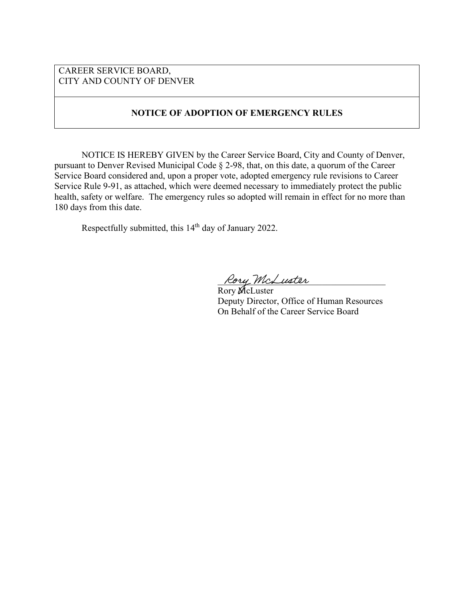## CAREER SERVICE BOARD, CITY AND COUNTY OF DENVER

# **NOTICE OF ADOPTION OF EMERGENCY RULES**

NOTICE IS HEREBY GIVEN by the Career Service Board, City and County of Denver, pursuant to Denver Revised Municipal Code § 2-98, that, on this date, a quorum of the Career Service Board considered and, upon a proper vote, adopted emergency rule revisions to Career Service Rule 9-91, as attached, which were deemed necessary to immediately protect the public health, safety or welfare. The emergency rules so adopted will remain in effect for no more than 180 days from this date.

Respectfully submitted, this 14<sup>th</sup> day of January 2022.

Rory McLuster

Rory McLuster Deputy Director, Office of Human Resources On Behalf of the Career Service Board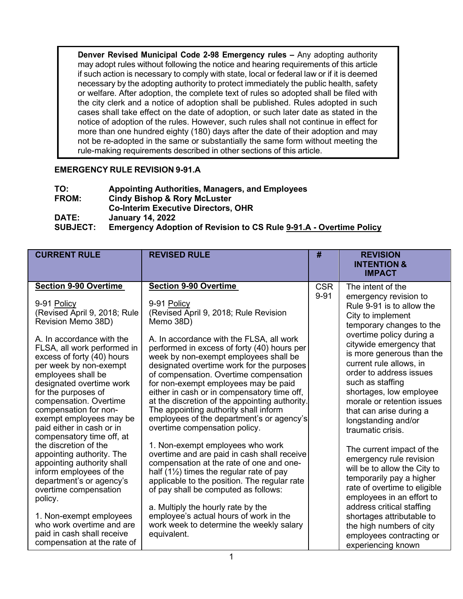**Denver Revised Municipal Code 2-98 Emergency rules –** Any adopting authority may adopt rules without following the notice and hearing requirements of this article if such action is necessary to comply with state, local or federal law or if it is deemed necessary by the adopting authority to protect immediately the public health, safety or welfare. After adoption, the complete text of rules so adopted shall be filed with the city clerk and a notice of adoption shall be published. Rules adopted in such cases shall take effect on the date of adoption, or such later date as stated in the notice of adoption of the rules. However, such rules shall not continue in effect for more than one hundred eighty (180) days after the date of their adoption and may not be re-adopted in the same or substantially the same form without meeting the rule-making requirements described in other sections of this article.

# **EMERGENCY RULE REVISION 9-91.A**

| TO:             | <b>Appointing Authorities, Managers, and Employees</b>                    |
|-----------------|---------------------------------------------------------------------------|
| <b>FROM:</b>    | <b>Cindy Bishop &amp; Rory McLuster</b>                                   |
|                 | <b>Co-Interim Executive Directors, OHR</b>                                |
| <b>DATE:</b>    | <b>January 14, 2022</b>                                                   |
| <b>SUBJECT:</b> | <b>Emergency Adoption of Revision to CS Rule 9-91.A - Overtime Policy</b> |

| <b>CURRENT RULE</b>                                                                                                                                                                                                                                                                                                                                                                                                                                                                                                                                                                                                                                                                                         | <b>REVISED RULE</b>                                                                                                                                                                                                                                                                                                                                                                                                                                                                                                                                                                                                                                                                                                                                                                                                                                                                                                                                                                                                   | #                      | <b>REVISION</b><br><b>INTENTION &amp;</b><br><b>IMPACT</b>                                                                                                                                                                                                                                                                                                                                                                                                                                                                                                                                                                                                                                                                |
|-------------------------------------------------------------------------------------------------------------------------------------------------------------------------------------------------------------------------------------------------------------------------------------------------------------------------------------------------------------------------------------------------------------------------------------------------------------------------------------------------------------------------------------------------------------------------------------------------------------------------------------------------------------------------------------------------------------|-----------------------------------------------------------------------------------------------------------------------------------------------------------------------------------------------------------------------------------------------------------------------------------------------------------------------------------------------------------------------------------------------------------------------------------------------------------------------------------------------------------------------------------------------------------------------------------------------------------------------------------------------------------------------------------------------------------------------------------------------------------------------------------------------------------------------------------------------------------------------------------------------------------------------------------------------------------------------------------------------------------------------|------------------------|---------------------------------------------------------------------------------------------------------------------------------------------------------------------------------------------------------------------------------------------------------------------------------------------------------------------------------------------------------------------------------------------------------------------------------------------------------------------------------------------------------------------------------------------------------------------------------------------------------------------------------------------------------------------------------------------------------------------------|
| <b>Section 9-90 Overtime</b><br>9-91 Policy<br>(Revised April 9, 2018; Rule<br>Revision Memo 38D)<br>A. In accordance with the<br>FLSA, all work performed in<br>excess of forty (40) hours<br>per week by non-exempt<br>employees shall be<br>designated overtime work<br>for the purposes of<br>compensation. Overtime<br>compensation for non-<br>exempt employees may be<br>paid either in cash or in<br>compensatory time off, at<br>the discretion of the<br>appointing authority. The<br>appointing authority shall<br>inform employees of the<br>department's or agency's<br>overtime compensation<br>policy.<br>1. Non-exempt employees<br>who work overtime and are<br>paid in cash shall receive | <b>Section 9-90 Overtime</b><br>9-91 Policy<br>(Revised April 9, 2018; Rule Revision<br>Memo 38D)<br>A. In accordance with the FLSA, all work<br>performed in excess of forty (40) hours per<br>week by non-exempt employees shall be<br>designated overtime work for the purposes<br>of compensation. Overtime compensation<br>for non-exempt employees may be paid<br>either in cash or in compensatory time off.<br>at the discretion of the appointing authority.<br>The appointing authority shall inform<br>employees of the department's or agency's<br>overtime compensation policy.<br>1. Non-exempt employees who work<br>overtime and are paid in cash shall receive<br>compensation at the rate of one and one-<br>half $(1\frac{1}{2})$ times the regular rate of pay<br>applicable to the position. The regular rate<br>of pay shall be computed as follows:<br>a. Multiply the hourly rate by the<br>employee's actual hours of work in the<br>work week to determine the weekly salary<br>equivalent. | <b>CSR</b><br>$9 - 91$ | The intent of the<br>emergency revision to<br>Rule 9-91 is to allow the<br>City to implement<br>temporary changes to the<br>overtime policy during a<br>citywide emergency that<br>is more generous than the<br>current rule allows, in<br>order to address issues<br>such as staffing<br>shortages, low employee<br>morale or retention issues<br>that can arise during a<br>longstanding and/or<br>traumatic crisis.<br>The current impact of the<br>emergency rule revision<br>will be to allow the City to<br>temporarily pay a higher<br>rate of overtime to eligible<br>employees in an effort to<br>address critical staffing<br>shortages attributable to<br>the high numbers of city<br>employees contracting or |
| compensation at the rate of                                                                                                                                                                                                                                                                                                                                                                                                                                                                                                                                                                                                                                                                                 |                                                                                                                                                                                                                                                                                                                                                                                                                                                                                                                                                                                                                                                                                                                                                                                                                                                                                                                                                                                                                       |                        | experiencing known                                                                                                                                                                                                                                                                                                                                                                                                                                                                                                                                                                                                                                                                                                        |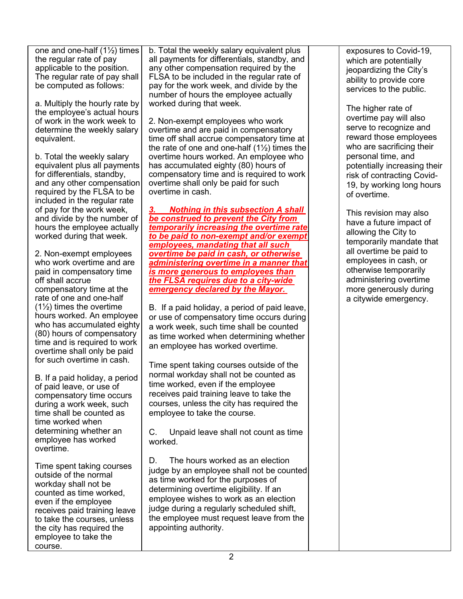one and one-half (1½) times the regular rate of pay applicable to the position. The regular rate of pay shall be computed as follows:

a. Multiply the hourly rate by the employee's actual hours of work in the work week to determine the weekly salary equivalent.

b. Total the weekly salary equivalent plus all payments for differentials, standby, and any other compensation required by the FLSA to be included in the regular rate of pay for the work week, and divide by the number of hours the employee actually worked during that week.

2. Non-exempt employees who work overtime and are paid in compensatory time off shall accrue compensatory time at the rate of one and one-half  $(1\frac{1}{2})$  times the overtime hours worked. An employee who has accumulated eighty (80) hours of compensatory time and is required to work overtime shall only be paid for such overtime in cash.

B. If a paid holiday, a period of paid leave, or use of compensatory time occurs during a work week, such time shall be counted as time worked when determining whether an employee has worked overtime.

Time spent taking courses outside of the normal workday shall not be counted as time worked, even if the employee receives paid training leave to take the courses, unless the city has required the employee to take the course.

b. Total the weekly salary equivalent plus all payments for differentials, standby, and any other compensation required by the FLSA to be included in the regular rate of pay for the work week, and divide by the number of hours the employee actually worked during that week.

2. Non-exempt employees who work overtime and are paid in compensatory time off shall accrue compensatory time at the rate of one and one-half  $(1\frac{1}{2})$  times the overtime hours worked. An employee who has accumulated eighty (80) hours of compensatory time and is required to work overtime shall only be paid for such overtime in cash.

*3. Nothing in this subsection A shall be construed to prevent the City from temporarily increasing the overtime rate to be paid to non-exempt and/or exempt employees, mandating that all such overtime be paid in cash, or otherwise administering overtime in a manner that is more generous to employees than the FLSA requires due to a city-wide emergency declared by the Mayor.* 

B. If a paid holiday, a period of paid leave, or use of compensatory time occurs during a work week, such time shall be counted as time worked when determining whether an employee has worked overtime.

Time spent taking courses outside of the normal workday shall not be counted as time worked, even if the employee receives paid training leave to take the courses, unless the city has required the employee to take the course.

C. Unpaid leave shall not count as time worked.

D. The hours worked as an election judge by an employee shall not be counted as time worked for the purposes of determining overtime eligibility. If an employee wishes to work as an election judge during a regularly scheduled shift, the employee must request leave from the appointing authority.

exposures to Covid-19, which are potentially jeopardizing the City's ability to provide core services to the public.

The higher rate of overtime pay will also serve to recognize and reward those employees who are sacrificing their personal time, and potentially increasing their risk of contracting Covid-19, by working long hours of overtime.

This revision may also have a future impact of allowing the City to temporarily mandate that all overtime be paid to employees in cash, or otherwise temporarily administering overtime more generously during a citywide emergency.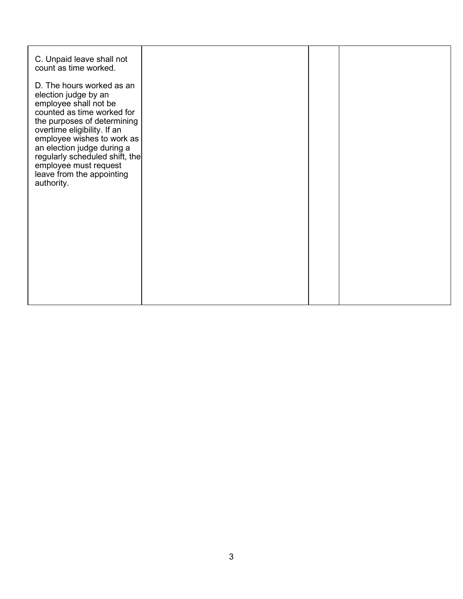| C. Unpaid leave shall not<br>count as time worked.<br>D. The hours worked as an<br>election judge by an<br>employee shall not be<br>counted as time worked for<br>the purposes of determining<br>overtime eligibility. If an<br>employee wishes to work as<br>an election judge during a<br>regularly scheduled shift, the<br>employee must request<br>leave from the appointing<br>authority. |  |  |
|------------------------------------------------------------------------------------------------------------------------------------------------------------------------------------------------------------------------------------------------------------------------------------------------------------------------------------------------------------------------------------------------|--|--|
|                                                                                                                                                                                                                                                                                                                                                                                                |  |  |